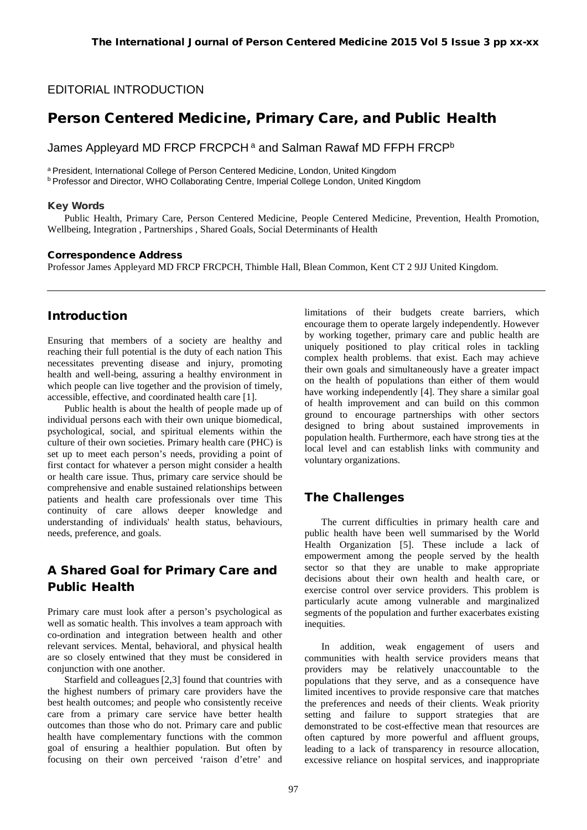#### EDITORIAL INTRODUCTION

# Person Centered Medicine, Primary Care, and Public Health

James Appleyard MD FRCP FRCPCH<sup>a</sup> and Salman Rawaf MD FFPH FRCP<sup>b</sup>

a President, International College of Person Centered Medicine, London, United Kingdom

b Professor and Director, WHO Collaborating Centre, Imperial College London, United Kingdom

#### Key Words

Public Health, Primary Care, Person Centered Medicine, People Centered Medicine, Prevention, Health Promotion, Wellbeing, Integration , Partnerships , Shared Goals, Social Determinants of Health

#### Correspondence Address

Professor James Appleyard MD FRCP FRCPCH, Thimble Hall, Blean Common, Kent CT 2 9JJ United Kingdom.

#### Introduction

Ensuring that members of a society are healthy and reaching their full potential is the duty of each nation This necessitates preventing disease and injury, promoting health and well-being, assuring a healthy environment in which people can live together and the provision of timely, accessible, effective, and coordinated health care [1].

Public health is about the health of people made up of individual persons each with their own unique biomedical, psychological, social, and spiritual elements within the culture of their own societies. Primary health care (PHC) is set up to meet each person's needs, providing a point of first contact for whatever a person might consider a health or health care issue. Thus, primary care service should be comprehensive and enable sustained relationships between patients and health care professionals over time This continuity of care allows deeper knowledge and understanding of individuals' health status, behaviours, needs, preference, and goals.

## A Shared Goal for Primary Care and Public Health

Primary care must look after a person's psychological as well as somatic health. This involves a team approach with co-ordination and integration between health and other relevant services. Mental, behavioral, and physical health are so closely entwined that they must be considered in conjunction with one another.

Starfield and colleagues[2,3] found that countries with the highest numbers of primary care providers have the best health outcomes; and people who consistently receive care from a primary care service have better health outcomes than those who do not. Primary care and public health have complementary functions with the common goal of ensuring a healthier population. But often by focusing on their own perceived 'raison d'etre' and

limitations of their budgets create barriers, which encourage them to operate largely independently. However by working together, primary care and public health are uniquely positioned to play critical roles in tackling complex health problems. that exist. Each may achieve their own goals and simultaneously have a greater impact on the health of populations than either of them would have working independently [4]. They share a similar goal of health improvement and can build on this common ground to encourage partnerships with other sectors designed to bring about sustained improvements in population health. Furthermore, each have strong ties at the local level and can establish links with community and voluntary organizations.

## The Challenges

The current difficulties in primary health care and public health have been well summarised by the World Health Organization [5]. These include a lack of empowerment among the people served by the health sector so that they are unable to make appropriate decisions about their own health and health care, or exercise control over service providers. This problem is particularly acute among vulnerable and marginalized segments of the population and further exacerbates existing inequities.

In addition, weak engagement of users and communities with health service providers means that providers may be relatively unaccountable to the populations that they serve, and as a consequence have limited incentives to provide responsive care that matches the preferences and needs of their clients. Weak priority setting and failure to support strategies that are demonstrated to be cost-effective mean that resources are often captured by more powerful and affluent groups, leading to a lack of transparency in resource allocation, excessive reliance on hospital services, and inappropriate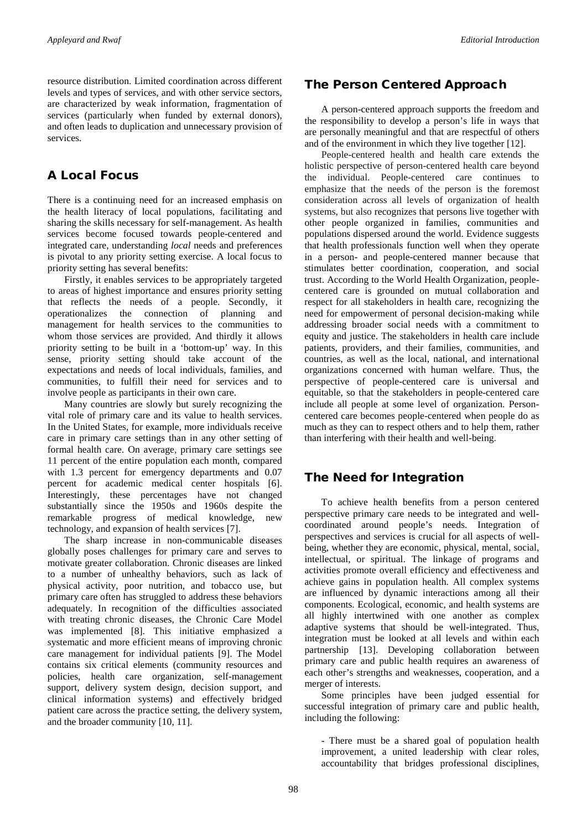resource distribution. Limited coordination across different levels and types of services, and with other service sectors*,*  are characterized by weak information, fragmentation of services (particularly when funded by external donors), and often leads to duplication and unnecessary provision of services.

### A Local Focus

There is a continuing need for an increased emphasis on the health literacy of local populations, facilitating and sharing the skills necessary for self-management. As health services become focused towards people-centered and integrated care, understanding *local* needs and preferences is pivotal to any priority setting exercise. A local focus to priority setting has several benefits:

Firstly, it enables services to be appropriately targeted to areas of highest importance and ensures priority setting that reflects the needs of a people. Secondly, it operationalizes the connection of planning and management for health services to the communities to whom those services are provided. And thirdly it allows priority setting to be built in a 'bottom-up' way. In this sense, priority setting should take account of the expectations and needs of local individuals, families, and communities, to fulfill their need for services and to involve people as participants in their own care.

Many countries are slowly but surely recognizing the vital role of primary care and its value to health services. In the United States, for example, more individuals receive care in primary care settings than in any other setting of formal health care. On average, primary care settings see 11 percent of the entire population each month, compared with 1.3 percent for emergency departments and 0.07 percent for academic medical center hospitals [6]. Interestingly, these percentages have not changed substantially since the 1950s and 1960s despite the remarkable progress of medical knowledge, new technology, and expansion of health services [7].

The sharp increase in non-communicable diseases globally poses challenges for primary care and serves to motivate greater collaboration. Chronic diseases are linked to a number of unhealthy behaviors, such as lack of physical activity, poor nutrition, and tobacco use, but primary care often has struggled to address these behaviors adequately. In recognition of the difficulties associated with treating chronic diseases, the Chronic Care Model was implemented [8]. This initiative emphasized a systematic and more efficient means of improving chronic care management for individual patients [9]. The Model contains six critical elements (community resources and policies, health care organization, self-management support, delivery system design, decision support, and clinical information systems) and effectively bridged patient care across the practice setting, the delivery system, and the broader community [10, 11].

### The Person Centered Approach

A person-centered approach supports the freedom and the responsibility to develop a person's life in ways that are personally meaningful and that are respectful of others and of the environment in which they live together [12].

People-centered health and health care extends the holistic perspective of person-centered health care beyond the individual. People-centered care continues to emphasize that the needs of the person is the foremost consideration across all levels of organization of health systems, but also recognizes that persons live together with other people organized in families, communities and populations dispersed around the world. Evidence suggests that health professionals function well when they operate in a person- and people-centered manner because that stimulates better coordination, cooperation, and social trust. According to the World Health Organization, peoplecentered care is grounded on mutual collaboration and respect for all stakeholders in health care, recognizing the need for empowerment of personal decision-making while addressing broader social needs with a commitment to equity and justice. The stakeholders in health care include patients, providers, and their families, communities, and countries, as well as the local, national, and international organizations concerned with human welfare. Thus, the perspective of people-centered care is universal and equitable, so that the stakeholders in people-centered care include all people at some level of organization. Personcentered care becomes people-centered when people do as much as they can to respect others and to help them, rather than interfering with their health and well-being.

## The Need for Integration

To achieve health benefits from a person centered perspective primary care needs to be integrated and wellcoordinated around people's needs. Integration of perspectives and services is crucial for all aspects of wellbeing, whether they are economic, physical, mental, social, intellectual, or spiritual. The linkage of programs and activities promote overall efficiency and effectiveness and achieve gains in population health. All complex systems are influenced by dynamic interactions among all their components. Ecological, economic, and health systems are all highly intertwined with one another as complex adaptive systems that should be well-integrated. Thus, integration must be looked at all levels and within each partnership [13]. Developing collaboration between primary care and public health requires an awareness of each other's strengths and weaknesses, cooperation, and a merger of interests.

Some principles have been judged essential for successful integration of primary care and public health, including the following:

- There must be a shared goal of population health improvement, a united leadership with clear roles, accountability that bridges professional disciplines,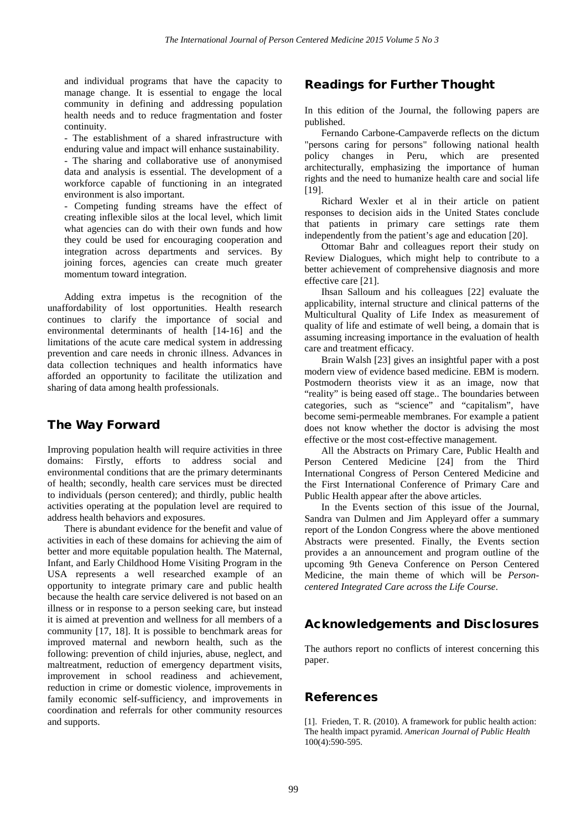and individual programs that have the capacity to manage change. It is essential to engage the local community in defining and addressing population health needs and to reduce fragmentation and foster continuity.

- The establishment of a shared infrastructure with enduring value and impact will enhance sustainability.

- The sharing and collaborative use of anonymised data and analysis is essential. The development of a workforce capable of functioning in an integrated environment is also important.

- Competing funding streams have the effect of creating inflexible silos at the local level, which limit what agencies can do with their own funds and how they could be used for encouraging cooperation and integration across departments and services. By joining forces, agencies can create much greater momentum toward integration.

Adding extra impetus is the recognition of the unaffordability of lost opportunities. Health research continues to clarify the importance of social and environmental determinants of health [14-16] and the limitations of the acute care medical system in addressing prevention and care needs in chronic illness. Advances in data collection techniques and health informatics have afforded an opportunity to facilitate the utilization and sharing of data among health professionals.

#### The Way Forward

Improving population health will require activities in three domains: Firstly, efforts to address social and environmental conditions that are the primary determinants of health; secondly, health care services must be directed to individuals (person centered); and thirdly, public health activities operating at the population level are required to address health behaviors and exposures.

There is abundant evidence for the benefit and value of activities in each of these domains for achieving the aim of better and more equitable population health. The Maternal, Infant, and Early Childhood Home Visiting Program in the USA represents a well researched example of an opportunity to integrate primary care and public health because the health care service delivered is not based on an illness or in response to a person seeking care, but instead it is aimed at prevention and wellness for all members of a community [17, 18]. It is possible to benchmark areas for improved maternal and newborn health, such as the following: prevention of child injuries, abuse, neglect, and maltreatment, reduction of emergency department visits, improvement in school readiness and achievement, reduction in crime or domestic violence, improvements in family economic self-sufficiency, and improvements in coordination and referrals for other community resources and supports.

### Readings for Further Thought

In this edition of the Journal, the following papers are published.

Fernando Carbone-Campaverde reflects on the dictum "persons caring for persons" following national health policy changes in Peru, which are presented architecturally, emphasizing the importance of human rights and the need to humanize health care and social life [19].

Richard Wexler et al in their article on patient responses to decision aids in the United States conclude that patients in primary care settings rate them independently from the patient's age and education [20].

Ottomar Bahr and colleagues report their study on Review Dialogues, which might help to contribute to a better achievement of comprehensive diagnosis and more effective care [21].

Ihsan Salloum and his colleagues [22] evaluate the applicability, internal structure and clinical patterns of the Multicultural Quality of Life Index as measurement of quality of life and estimate of well being, a domain that is assuming increasing importance in the evaluation of health care and treatment efficacy.

Brain Walsh [23] gives an insightful paper with a post modern view of evidence based medicine. EBM is modern. Postmodern theorists view it as an image, now that "reality" is being eased off stage.. The boundaries between categories, such as "science" and "capitalism", have become semi-permeable membranes. For example a patient does not know whether the doctor is advising the most effective or the most cost-effective management.

All the Abstracts on Primary Care, Public Health and Person Centered Medicine [24] from the Third International Congress of Person Centered Medicine and the First International Conference of Primary Care and Public Health appear after the above articles.

In the Events section of this issue of the Journal, Sandra van Dulmen and Jim Appleyard offer a summary report of the London Congress where the above mentioned Abstracts were presented. Finally, the Events section provides a an announcement and program outline of the upcoming 9th Geneva Conference on Person Centered Medicine, the main theme of which will be *Personcentered Integrated Care across the Life Course*.

#### Acknowledgements and Disclosures

The authors report no conflicts of interest concerning this paper.

#### References

[1]. Frieden, T. R. (2010). A framework for public health action: The health impact pyramid. *American Journal of Public Health* 100(4):590-595.